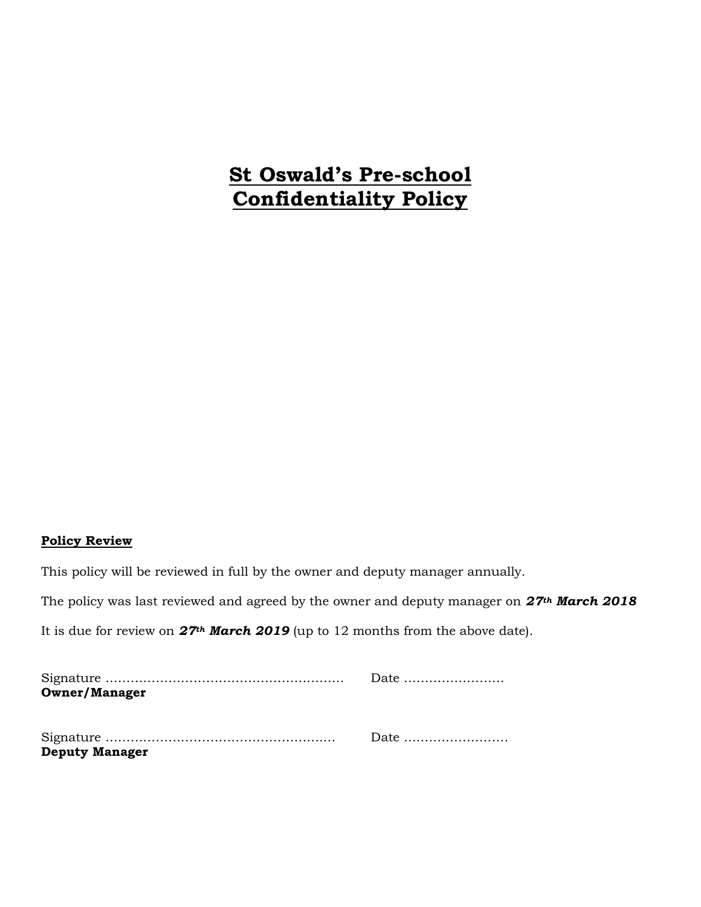# **St Oswald's Pre-school Confidentiality Policy**

## **Policy Review**

This policy will be reviewed in full by the owner and deputy manager annually.

The policy was last reviewed and agreed by the owner and deputy manager on *27th March 2018*

It is due for review on *27th March 2019* (up to 12 months from the above date).

|                       | Date |
|-----------------------|------|
| <b>Owner/Manager</b>  |      |
|                       |      |
|                       |      |
|                       |      |
| <b>Deputy Manager</b> |      |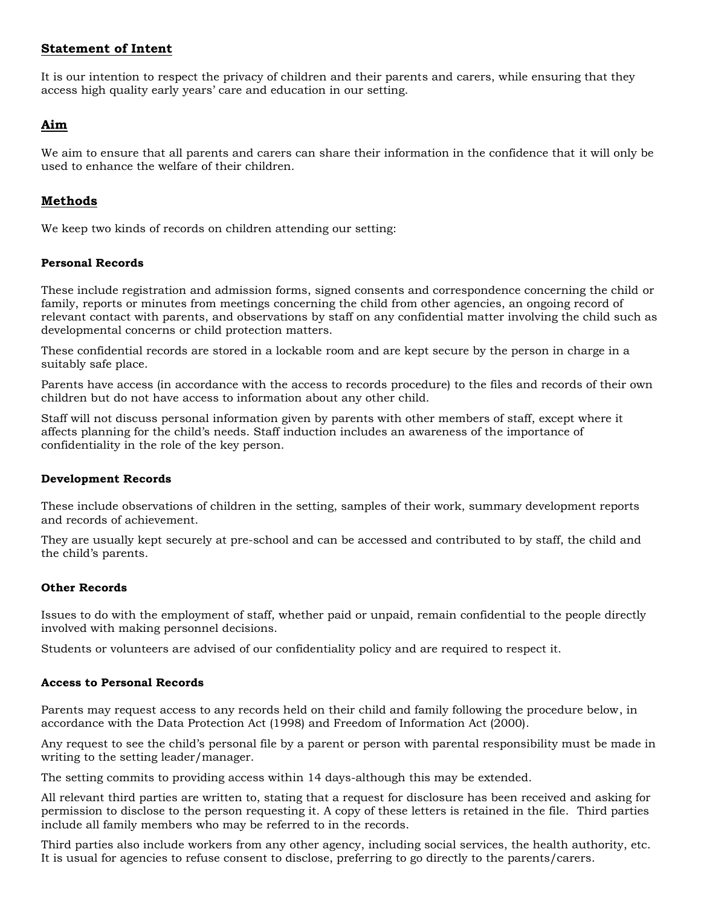## **Statement of Intent**

It is our intention to respect the privacy of children and their parents and carers, while ensuring that they access high quality early years' care and education in our setting.

## **Aim**

We aim to ensure that all parents and carers can share their information in the confidence that it will only be used to enhance the welfare of their children.

# **Methods**

We keep two kinds of records on children attending our setting:

## **Personal Records**

These include registration and admission forms, signed consents and correspondence concerning the child or family, reports or minutes from meetings concerning the child from other agencies, an ongoing record of relevant contact with parents, and observations by staff on any confidential matter involving the child such as developmental concerns or child protection matters.

These confidential records are stored in a lockable room and are kept secure by the person in charge in a suitably safe place.

Parents have access (in accordance with the access to records procedure) to the files and records of their own children but do not have access to information about any other child.

Staff will not discuss personal information given by parents with other members of staff, except where it affects planning for the child's needs. Staff induction includes an awareness of the importance of confidentiality in the role of the key person.

#### **Development Records**

These include observations of children in the setting, samples of their work, summary development reports and records of achievement.

They are usually kept securely at pre-school and can be accessed and contributed to by staff, the child and the child's parents.

#### **Other Records**

Issues to do with the employment of staff, whether paid or unpaid, remain confidential to the people directly involved with making personnel decisions.

Students or volunteers are advised of our confidentiality policy and are required to respect it.

#### **Access to Personal Records**

Parents may request access to any records held on their child and family following the procedure below, in accordance with the Data Protection Act (1998) and Freedom of Information Act (2000).

Any request to see the child's personal file by a parent or person with parental responsibility must be made in writing to the setting leader/manager.

The setting commits to providing access within 14 days-although this may be extended.

All relevant third parties are written to, stating that a request for disclosure has been received and asking for permission to disclose to the person requesting it. A copy of these letters is retained in the file. Third parties include all family members who may be referred to in the records.

Third parties also include workers from any other agency, including social services, the health authority, etc. It is usual for agencies to refuse consent to disclose, preferring to go directly to the parents/carers.